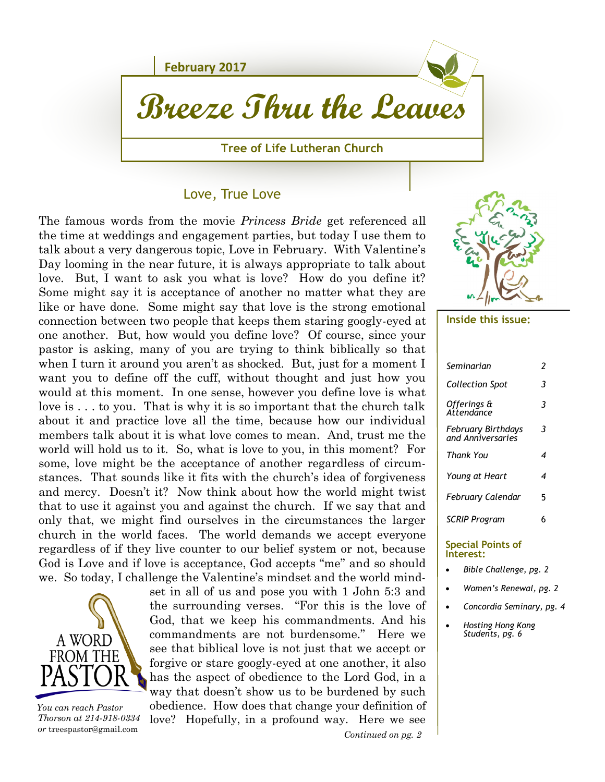

### Love, True Love

The famous words from the movie *Princess Bride* get referenced all the time at weddings and engagement parties, but today I use them to talk about a very dangerous topic, Love in February. With Valentine's Day looming in the near future, it is always appropriate to talk about love. But, I want to ask you what is love? How do you define it? Some might say it is acceptance of another no matter what they are like or have done. Some might say that love is the strong emotional connection between two people that keeps them staring googly-eyed at one another. But, how would you define love? Of course, since your pastor is asking, many of you are trying to think biblically so that when I turn it around you aren't as shocked. But, just for a moment I want you to define off the cuff, without thought and just how you would at this moment. In one sense, however you define love is what love is . . . to you. That is why it is so important that the church talk about it and practice love all the time, because how our individual members talk about it is what love comes to mean. And, trust me the world will hold us to it. So, what is love to you, in this moment? For some, love might be the acceptance of another regardless of circumstances. That sounds like it fits with the church's idea of forgiveness and mercy. Doesn't it? Now think about how the world might twist that to use it against you and against the church. If we say that and only that, we might find ourselves in the circumstances the larger church in the world faces. The world demands we accept everyone regardless of if they live counter to our belief system or not, because God is Love and if love is acceptance, God accepts "me" and so should we. So today, I challenge the Valentine's mindset and the world mind-



 *You can reach Pastor Thorson at 214-918-0334 or* [treespastor@gmail.com](mailto:daberg14@yahoo.com)

*Continued on pg. 2* set in all of us and pose you with 1 John 5:3 and the surrounding verses. "For this is the love of God, that we keep his commandments. And his commandments are not burdensome." Here we see that biblical love is not just that we accept or forgive or stare googly-eyed at one another, it also has the aspect of obedience to the Lord God, in a way that doesn't show us to be burdened by such obedience. How does that change your definition of love? Hopefully, in a profound way. Here we see



#### **Inside this issue:**

| Seminarian                                     | 2 |
|------------------------------------------------|---|
| Collection Spot                                | 3 |
| Offerings &<br>Attendance                      | 3 |
| <b>February Birthdays</b><br>and Anniversaries | 3 |
| <b>Thank You</b>                               | 4 |
| Young at Heart                                 | 4 |
| <b>February Calendar</b>                       | 5 |
| <b>SCRIP Program</b>                           | 6 |
| しきし しゅうきしゅう                                    |   |

#### **Special Points of Interest:**

- *Bible Challenge, pg. 2*
- *Women's Renewal, pg. 2*
- *Concordia Seminary, pg. 4*
- *Hosting Hong Kong Students, pg. 6*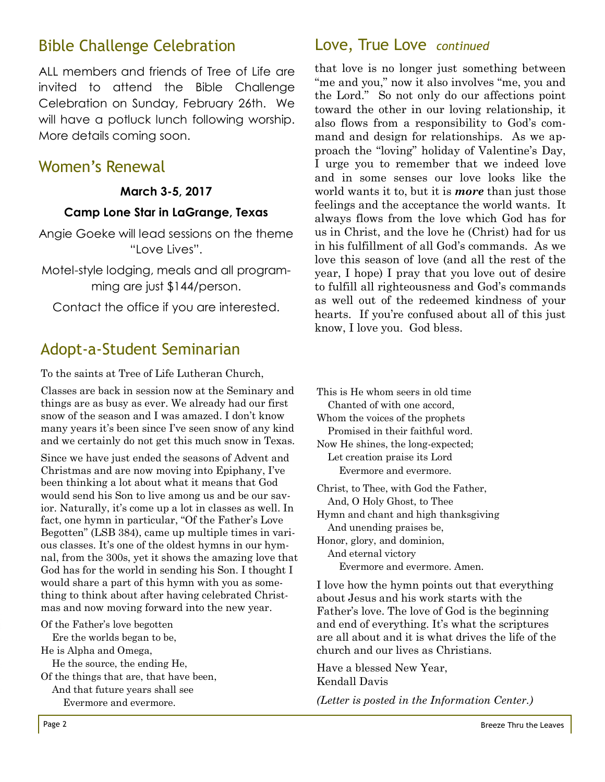## Bible Challenge Celebration

ALL members and friends of Tree of Life are invited to attend the Bible Challenge Celebration on Sunday, February 26th. We will have a potluck lunch following worship. More details coming soon.

## Women's Renewal

### **March 3-5, 2017**

### **Camp Lone Star in LaGrange, Texas**

Angie Goeke will lead sessions on the theme "Love Lives".

Motel-style lodging, meals and all programming are just \$144/person.

Contact the office if you are interested.

## Adopt-a-Student Seminarian

To the saints at Tree of Life Lutheran Church,

Classes are back in session now at the Seminary and things are as busy as ever. We already had our first snow of the season and I was amazed. I don't know many years it's been since I've seen snow of any kind and we certainly do not get this much snow in Texas.

Since we have just ended the seasons of Advent and Christmas and are now moving into Epiphany, I've been thinking a lot about what it means that God would send his Son to live among us and be our savior. Naturally, it's come up a lot in classes as well. In fact, one hymn in particular, "Of the Father's Love Begotten" (LSB 384), came up multiple times in various classes. It's one of the oldest hymns in our hymnal, from the 300s, yet it shows the amazing love that God has for the world in sending his Son. I thought I would share a part of this hymn with you as something to think about after having celebrated Christmas and now moving forward into the new year.

Of the Father's love begotten

Ere the worlds began to be,

He is Alpha and Omega,

He the source, the ending He,

Of the things that are, that have been,

 And that future years shall see Evermore and evermore.

## Love, True Love *continued*

that love is no longer just something between "me and you," now it also involves "me, you and the Lord." So not only do our affections point toward the other in our loving relationship, it also flows from a responsibility to God's command and design for relationships. As we approach the "loving" holiday of Valentine's Day, I urge you to remember that we indeed love and in some senses our love looks like the world wants it to, but it is *more* than just those feelings and the acceptance the world wants. It always flows from the love which God has for us in Christ, and the love he (Christ) had for us in his fulfillment of all God's commands. As we love this season of love (and all the rest of the year, I hope) I pray that you love out of desire to fulfill all righteousness and God's commands as well out of the redeemed kindness of your hearts. If you're confused about all of this just know, I love you. God bless.

This is He whom seers in old time Chanted of with one accord, Whom the voices of the prophets Promised in their faithful word. Now He shines, the long-expected; Let creation praise its Lord Evermore and evermore. Christ, to Thee, with God the Father, And, O Holy Ghost, to Thee Hymn and chant and high thanksgiving And unending praises be, Honor, glory, and dominion, And eternal victory

Evermore and evermore. Amen.

I love how the hymn points out that everything about Jesus and his work starts with the Father's love. The love of God is the beginning and end of everything. It's what the scriptures are all about and it is what drives the life of the church and our lives as Christians.

Have a blessed New Year, Kendall Davis

*(Letter is posted in the Information Center.)*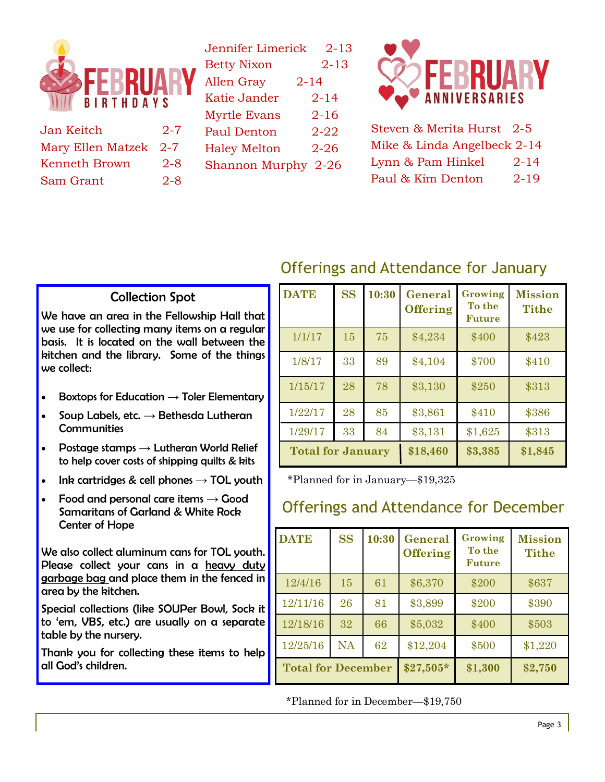

| Jan Keitch            | $2 - 7$ |
|-----------------------|---------|
| Mary Ellen Matzek 2-7 |         |
| Kenneth Brown         | 2-8     |
| Sam Grant             | 2-8     |

| Jennifer Limerick   | $2 - 13$ |
|---------------------|----------|
|                     |          |
| <b>Betty Nixon</b>  | 2-13     |
| <b>Allen Gray</b>   | 2-14     |
| Katie Jander        | $2 - 14$ |
| <b>Myrtle Evans</b> | 2-16     |
| Paul Denton         | 2-22     |
| <b>Haley Melton</b> | 2-26     |
| Shannon Murphy 2-26 |          |
|                     |          |



Steven & Merita Hurst 2-5 Mike & Linda Angelbeck 2-14 Lynn & Pam Hinkel 2-14 Paul & Kim Denton 2-19

# Offerings and Attendance for January

### Collection Spot

We have an area in the Fellowship Hall that we use for collecting many items on a regular basis. It is located on the wall between the kitchen and the library. Some of the things we collect:

- Boxtops for Education  $\rightarrow$  Toler Elementary
- $\bullet$  Soup Labels, etc.  $\rightarrow$  Bethesda Lutheran **Communities**
- Postage stamps  $\rightarrow$  Lutheran World Relief to help cover costs of shipping quilts & kits
- Ink cartridges & cell phones  $\rightarrow$  TOL youth
- Food and personal care items  $\rightarrow$  Good Samaritans of Garland & White Rock Center of Hope

We also collect aluminum cans for TOL youth. Please collect your cans in a heavy duty garbage bag and place them in the fenced in area by the kitchen.

Special collections (like SOUPer Bowl, Sock it to 'em, VBS, etc.) are usually on a separate table by the nursery.

Thank you for collecting these items to help all God's children.

| <b>DATE</b>              | <b>SS</b> | 10:30 | <b>General</b><br><b>Offering</b> | Growing<br>To the<br><b>Future</b> | <b>Mission</b><br><b>Tithe</b> |
|--------------------------|-----------|-------|-----------------------------------|------------------------------------|--------------------------------|
| 1/1/17                   | 15        | 75    | \$4,234                           | \$400                              | \$423                          |
| 1/8/17                   | 33        | 89    | \$4,104                           | \$700                              | \$410                          |
| 1/15/17                  | 28        | 78    | \$3,130                           | \$250                              | \$313                          |
| 1/22/17                  | 28        | 85    | \$3,861                           | \$410                              | \$386                          |
| 1/29/17                  | 33        | 84    | \$3,131                           | \$1,625                            | \$313                          |
| <b>Total for January</b> |           |       | \$18,460                          | \$3,385                            | \$1,845                        |

\*Planned for in January—\$19,325

## Offerings and Attendance for December

| <b>DATE</b>               | <b>SS</b> | 10:30 | General<br><b>Offering</b> | Growing<br>To the<br><b>Future</b> | <b>Mission</b><br><b>Tithe</b> |
|---------------------------|-----------|-------|----------------------------|------------------------------------|--------------------------------|
| 12/4/16                   | 15        | 61    | \$6,370                    | \$200                              | \$637                          |
| 12/11/16                  | 26        | 81    | \$3,899                    | \$200                              | \$390                          |
| 12/18/16                  | 32        | 66    | \$5,032                    | \$400                              | \$503                          |
| 12/25/16                  | <b>NA</b> | 62    | \$12,204                   | \$500                              | \$1,220                        |
| <b>Total for December</b> |           |       | $$27,505*$                 | \$1,300                            | \$2,750                        |

\*Planned for in December—\$19,750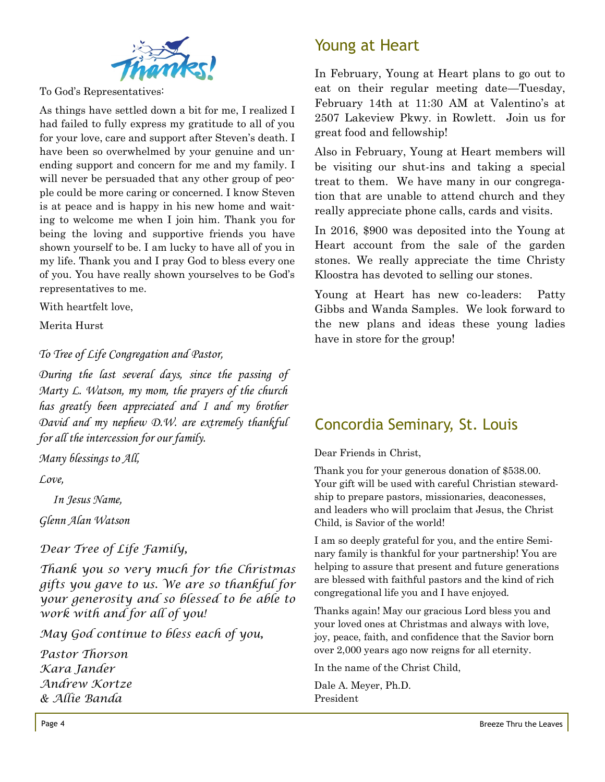

To God's Representatives:

As things have settled down a bit for me, I realized I had failed to fully express my gratitude to all of you for your love, care and support after Steven's death. I have been so overwhelmed by your genuine and unending support and concern for me and my family. I will never be persuaded that any other group of people could be more caring or concerned. I know Steven is at peace and is happy in his new home and waiting to welcome me when I join him. Thank you for being the loving and supportive friends you have shown yourself to be. I am lucky to have all of you in my life. Thank you and I pray God to bless every one of you. You have really shown yourselves to be God's representatives to me.

With heartfelt love,

Merita Hurst

*To Tree of Life Congregation and Pastor,*

*During the last several days, since the passing of Marty L. Watson, my mom, the prayers of the church has greatly been appreciated and I and my brother David and my nephew D.W. are extremely thankful for all the intercession for our family.*

*Many blessings to All,*

*Love,*

 *In Jesus Name,*

*Glenn Alan Watson*

*Dear Tree of Life Family,*

*Thank you so very much for the Christmas gifts you gave to us. We are so thankful for your generosity and so blessed to be able to work with and for all of you!*

*May God continue to bless each of you,*

*Pastor Thorson Kara Jander Andrew Kortze & Allie Banda*

# Young at Heart

In February, Young at Heart plans to go out to eat on their regular meeting date—Tuesday, February 14th at 11:30 AM at Valentino's at 2507 Lakeview Pkwy. in Rowlett. Join us for great food and fellowship!

Also in February, Young at Heart members will be visiting our shut-ins and taking a special treat to them. We have many in our congregation that are unable to attend church and they really appreciate phone calls, cards and visits.

In 2016, \$900 was deposited into the Young at Heart account from the sale of the garden stones. We really appreciate the time Christy Kloostra has devoted to selling our stones.

Young at Heart has new co-leaders: Patty Gibbs and Wanda Samples. We look forward to the new plans and ideas these young ladies have in store for the group!

# Concordia Seminary, St. Louis

Dear Friends in Christ,

Thank you for your generous donation of \$538.00. Your gift will be used with careful Christian stewardship to prepare pastors, missionaries, deaconesses, and leaders who will proclaim that Jesus, the Christ Child, is Savior of the world!

I am so deeply grateful for you, and the entire Seminary family is thankful for your partnership! You are helping to assure that present and future generations are blessed with faithful pastors and the kind of rich congregational life you and I have enjoyed.

Thanks again! May our gracious Lord bless you and your loved ones at Christmas and always with love, joy, peace, faith, and confidence that the Savior born over 2,000 years ago now reigns for all eternity.

In the name of the Christ Child,

Dale A. Meyer, Ph.D. President